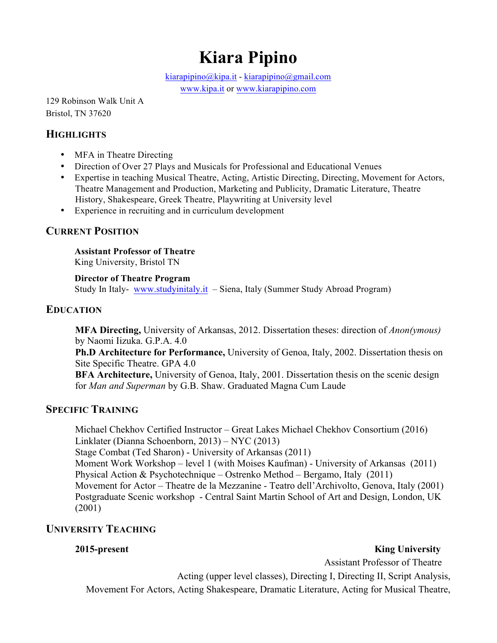# **Kiara Pipino**

kiarapipino@kipa.it - kiarapipino@gmail.com

www.kipa.it or www.kiarapipino.com

129 Robinson Walk Unit A Bristol, TN 37620

### **HIGHLIGHTS**

- MFA in Theatre Directing
- Direction of Over 27 Plays and Musicals for Professional and Educational Venues
- Expertise in teaching Musical Theatre, Acting, Artistic Directing, Directing, Movement for Actors, Theatre Management and Production, Marketing and Publicity, Dramatic Literature, Theatre History, Shakespeare, Greek Theatre, Playwriting at University level
- Experience in recruiting and in curriculum development

### **CURRENT POSITION**

**Assistant Professor of Theatre** King University, Bristol TN

### **Director of Theatre Program**

Study In Italy- www.studyinitaly.it – Siena, Italy (Summer Study Abroad Program)

### **EDUCATION**

**MFA Directing,** University of Arkansas, 2012. Dissertation theses: direction of *Anon(ymous)* by Naomi Iizuka. G.P.A. 4.0

**Ph.D Architecture for Performance,** University of Genoa, Italy, 2002. Dissertation thesis on Site Specific Theatre. GPA 4.0

**BFA Architecture,** University of Genoa, Italy, 2001. Dissertation thesis on the scenic design for *Man and Superman* by G.B. Shaw. Graduated Magna Cum Laude

### **SPECIFIC TRAINING**

Michael Chekhov Certified Instructor – Great Lakes Michael Chekhov Consortium (2016) Linklater (Dianna Schoenborn, 2013) – NYC (2013) Stage Combat (Ted Sharon) - University of Arkansas (2011) Moment Work Workshop – level 1 (with Moises Kaufman) - University of Arkansas (2011) Physical Action & Psychotechnique – Ostrenko Method – Bergamo, Italy (2011) Movement for Actor – Theatre de la Mezzanine - Teatro dell'Archivolto, Genova, Italy (2001) Postgraduate Scenic workshop - Central Saint Martin School of Art and Design, London, UK (2001)

### **UNIVERSITY TEACHING**

**2015-present** King University

Assistant Professor of Theatre

Acting (upper level classes), Directing I, Directing II, Script Analysis,

Movement For Actors, Acting Shakespeare, Dramatic Literature, Acting for Musical Theatre,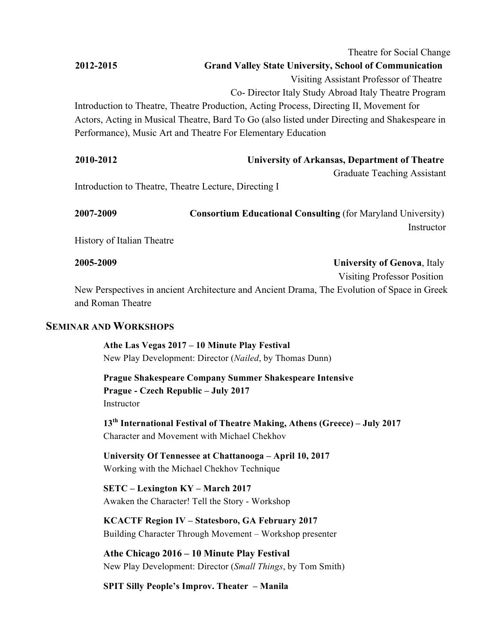|           | Theatre for Social Change                                                                     |
|-----------|-----------------------------------------------------------------------------------------------|
| 2012-2015 | <b>Grand Valley State University, School of Communication</b>                                 |
|           | Visiting Assistant Professor of Theatre                                                       |
|           | Co-Director Italy Study Abroad Italy Theatre Program                                          |
|           | Introduction to Theatre, Theatre Production, Acting Process, Directing II, Movement for       |
|           | Actors, Acting in Musical Theatre, Bard To Go (also listed under Directing and Shakespeare in |
|           | Performance), Music Art and Theatre For Elementary Education                                  |
|           |                                                                                               |

| 2010-2012 | University of Arkansas, Department of Theatre |  |
|-----------|-----------------------------------------------|--|
|-----------|-----------------------------------------------|--|

Graduate Teaching Assistant

Introduction to Theatre, Theatre Lecture, Directing I

| 2007-2009 | <b>Consortium Educational Consulting (for Maryland University)</b> |
|-----------|--------------------------------------------------------------------|
|           | Instructor                                                         |

History of Italian Theatre

**2005-2009 University of Genova**, Italy Visiting Professor Position New Perspectives in ancient Architecture and Ancient Drama, The Evolution of Space in Greek and Roman Theatre

### **SEMINAR AND WORKSHOPS**

**Athe Las Vegas 2017 – 10 Minute Play Festival**  New Play Development: Director (*Nailed*, by Thomas Dunn)

**Prague Shakespeare Company Summer Shakespeare Intensive Prague - Czech Republic – July 2017** Instructor

**13th International Festival of Theatre Making, Athens (Greece) – July 2017** Character and Movement with Michael Chekhov

**University Of Tennessee at Chattanooga – April 10, 2017** Working with the Michael Chekhov Technique

**SETC – Lexington KY – March 2017** Awaken the Character! Tell the Story - Workshop

**KCACTF Region IV – Statesboro, GA February 2017** Building Character Through Movement – Workshop presenter

**Athe Chicago 2016 – 10 Minute Play Festival**  New Play Development: Director (*Small Things*, by Tom Smith)

**SPIT Silly People's Improv. Theater – Manila**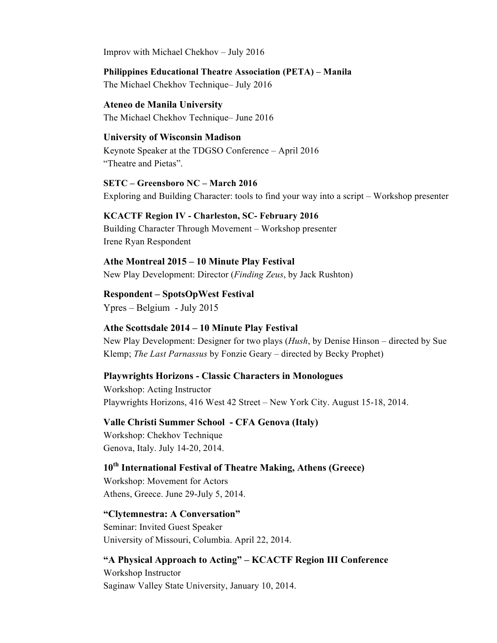Improv with Michael Chekhov – July 2016

**Philippines Educational Theatre Association (PETA) – Manila** 

The Michael Chekhov Technique– July 2016

**Ateneo de Manila University**  The Michael Chekhov Technique– June 2016

### **University of Wisconsin Madison**

Keynote Speaker at the TDGSO Conference – April 2016 "Theatre and Pietas".

**SETC – Greensboro NC – March 2016** Exploring and Building Character: tools to find your way into a script – Workshop presenter

### **KCACTF Region IV - Charleston, SC- February 2016**

Building Character Through Movement – Workshop presenter Irene Ryan Respondent

**Athe Montreal 2015 – 10 Minute Play Festival** New Play Development: Director (*Finding Zeus*, by Jack Rushton)

**Respondent – SpotsOpWest Festival** Ypres – Belgium - July 2015

### **Athe Scottsdale 2014 – 10 Minute Play Festival**

New Play Development: Designer for two plays (*Hush*, by Denise Hinson – directed by Sue Klemp; *The Last Parnassus* by Fonzie Geary – directed by Becky Prophet)

### **Playwrights Horizons - Classic Characters in Monologues**

Workshop: Acting Instructor Playwrights Horizons, 416 West 42 Street – New York City. August 15-18, 2014.

**Valle Christi Summer School - CFA Genova (Italy)** Workshop: Chekhov Technique Genova, Italy. July 14-20, 2014.

### **10th International Festival of Theatre Making, Athens (Greece)**

Workshop: Movement for Actors Athens, Greece. June 29-July 5, 2014.

### **"Clytemnestra: A Conversation"**

Seminar: Invited Guest Speaker University of Missouri, Columbia. April 22, 2014.

### **"A Physical Approach to Acting" – KCACTF Region III Conference**

Workshop Instructor Saginaw Valley State University, January 10, 2014.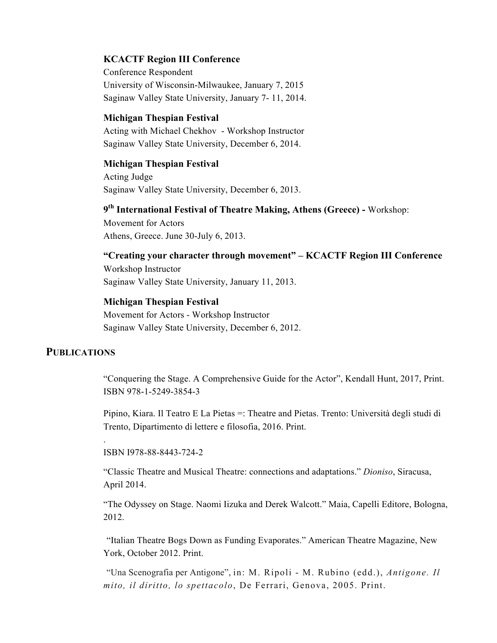### **KCACTF Region III Conference**

Conference Respondent University of Wisconsin-Milwaukee, January 7, 2015 Saginaw Valley State University, January 7- 11, 2014.

### **Michigan Thespian Festival**

Acting with Michael Chekhov - Workshop Instructor Saginaw Valley State University, December 6, 2014.

### **Michigan Thespian Festival**

Acting Judge Saginaw Valley State University, December 6, 2013.

### **9th International Festival of Theatre Making, Athens (Greece) -** Workshop:

Movement for Actors Athens, Greece. June 30-July 6, 2013.

### **"Creating your character through movement" – KCACTF Region III Conference**

Workshop Instructor Saginaw Valley State University, January 11, 2013.

### **Michigan Thespian Festival**

Movement for Actors - Workshop Instructor Saginaw Valley State University, December 6, 2012.

### **PUBLICATIONS**

.

"Conquering the Stage. A Comprehensive Guide for the Actor", Kendall Hunt, 2017, Print. ISBN 978-1-5249-3854-3

Pipino, Kiara. Il Teatro E La Pietas =: Theatre and Pietas. Trento: Università degli studi di Trento, Dipartimento di lettere e filosofia, 2016. Print.

ISBN I978-88-8443-724-2

"Classic Theatre and Musical Theatre: connections and adaptations." *Dioniso*, Siracusa, April 2014.

"The Odyssey on Stage. Naomi Iizuka and Derek Walcott." Maia, Capelli Editore, Bologna, 2012.

"Italian Theatre Bogs Down as Funding Evaporates." American Theatre Magazine, New York, October 2012. Print.

"Una Scenografia per Antigone", in: M. Ripoli - M. Rubino (edd.), *Antigone. Il mito, il diritto, lo spettacolo*, De Ferrari, Genova, 2005. Print.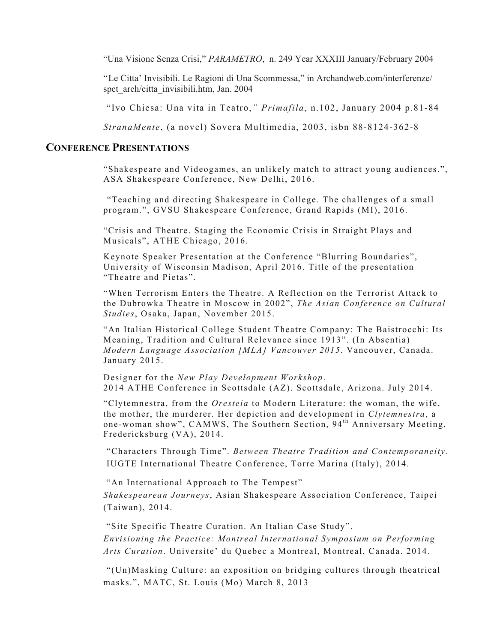"Una Visione Senza Crisi," *PARAMETRO*, n. 249 Year XXXIII January/February 2004

"Le Citta' Invisibili. Le Ragioni di Una Scommessa," in Archandweb.com/interferenze/ spet\_arch/citta\_invisibili.htm, Jan. 2004

"Ivo Chiesa: Una vita in Teatro,*" Primafila*, n.102, January 2004 p.81-84

*StranaMente*, (a novel) Sovera Multimedia, 2003, isbn 88-8124-362-8

### **CONFERENCE PRESENTATIONS**

"Shakespeare and Videogames, an unlikely match to attract young audiences.", ASA Shakespeare Conference, New Delhi, 2016.

"Teaching and directing Shakespeare in College. The challenges of a small program.", GVSU Shakespeare Conference, Grand Rapids (MI), 2016.

"Crisis and Theatre. Staging the Economic Crisis in Straight Plays and Musicals", ATHE Chicago, 2016.

Keynote Speaker Presentation at the Conference "Blurring Boundaries", University of Wisconsin Madison, April 2016. Title of the presentation "Theatre and Pietas".

"When Terrorism Enters the Theatre. A Reflection on the Terrorist Attack to the Dubrowka Theatre in Moscow in 2002", *The Asian Conference on Cultural Studies*, Osaka, Japan, November 2015.

"An Italian Historical College Student Theatre Company: The Baistrocchi: Its Meaning, Tradition and Cultural Relevance since 1913". (In Absentia) *Modern Language Association [MLA] Vancouver 2015*. Vancouver, Canada. January 2015.

Designer for the *New Play Development Workshop*. 2014 ATHE Conference in Scottsdale (AZ). Scottsdale, Arizona. July 2014.

"Clytemnestra, from the *Oresteia* to Modern Literature: the woman, the wife, the mother, the murderer. Her depiction and development in *Clytemnestra*, a one-woman show", CAMWS, The Southern Section, 94<sup>th</sup> Anniversary Meeting, Fredericksburg (VA), 2014.

"Characters Through Time". *Between Theatre Tradition and Contemporaneity*. IUGTE International Theatre Conference, Torre Marina (Italy), 2014.

"An International Approach to The Tempest"

*Shakespearean Journeys*, Asian Shakespeare Association Conference, Taipei (Taiwan), 2014.

"Site Specific Theatre Curation. An Italian Case Study". *Envisioning the Practice: Montreal International Symposium on Performing Arts Curation*. Universite' du Quebec a Montreal, Montreal, Canada. 2014.

"(Un)Masking Culture: an exposition on bridging cultures through theatrical masks.", MATC, St. Louis (Mo) March 8, 2013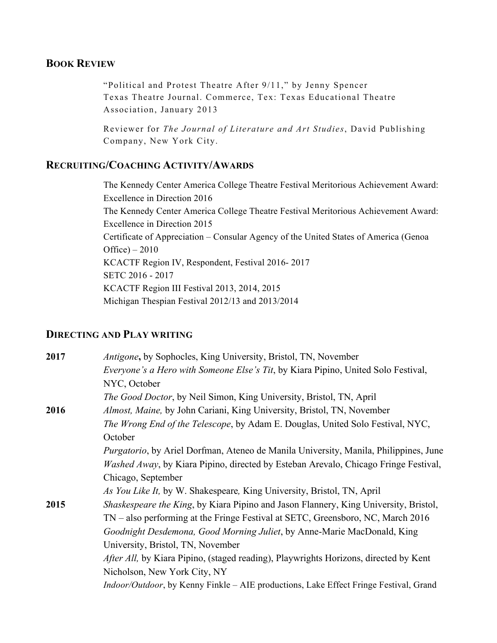### **BOOK REVIEW**

"Political and Protest Theatre After 9/11," by Jenny Spencer Texas Theatre Journal. Commerce, Tex: Texas Educational Theatre Association, January 2013

Reviewer for *The Journal of Literature and Art Studies*, David Publishing Company, New York City.

### **RECRUITING/COACHING ACTIVITY/AWARDS**

The Kennedy Center America College Theatre Festival Meritorious Achievement Award: Excellence in Direction 2016 The Kennedy Center America College Theatre Festival Meritorious Achievement Award: Excellence in Direction 2015 Certificate of Appreciation – Consular Agency of the United States of America (Genoa Office) – 2010 KCACTF Region IV, Respondent, Festival 2016- 2017 SETC 2016 - 2017 KCACTF Region III Festival 2013, 2014, 2015 Michigan Thespian Festival 2012/13 and 2013/2014

### **DIRECTING AND PLAY WRITING**

| 2017 | Antigone, by Sophocles, King University, Bristol, TN, November                               |
|------|----------------------------------------------------------------------------------------------|
|      | <i>Everyone's a Hero with Someone Else's Tit, by Kiara Pipino, United Solo Festival,</i>     |
|      | NYC, October                                                                                 |
|      | <i>The Good Doctor</i> , by Neil Simon, King University, Bristol, TN, April                  |
| 2016 | Almost, Maine, by John Cariani, King University, Bristol, TN, November                       |
|      | The Wrong End of the Telescope, by Adam E. Douglas, United Solo Festival, NYC,               |
|      | October                                                                                      |
|      | <i>Purgatorio</i> , by Ariel Dorfman, Ateneo de Manila University, Manila, Philippines, June |
|      | <i>Washed Away</i> , by Kiara Pipino, directed by Esteban Arevalo, Chicago Fringe Festival,  |
|      | Chicago, September                                                                           |
|      | As You Like It, by W. Shakespeare, King University, Bristol, TN, April                       |
| 2015 | <i>Shaskespeare the King</i> , by Kiara Pipino and Jason Flannery, King University, Bristol, |
|      | TN – also performing at the Fringe Festival at SETC, Greensboro, NC, March 2016              |
|      | Goodnight Desdemona, Good Morning Juliet, by Anne-Marie MacDonald, King                      |
|      | University, Bristol, TN, November                                                            |
|      | <i>After All</i> , by Kiara Pipino, (staged reading), Playwrights Horizons, directed by Kent |
|      | Nicholson, New York City, NY                                                                 |
|      | Indoor/Outdoor, by Kenny Finkle - AIE productions, Lake Effect Fringe Festival, Grand        |
|      |                                                                                              |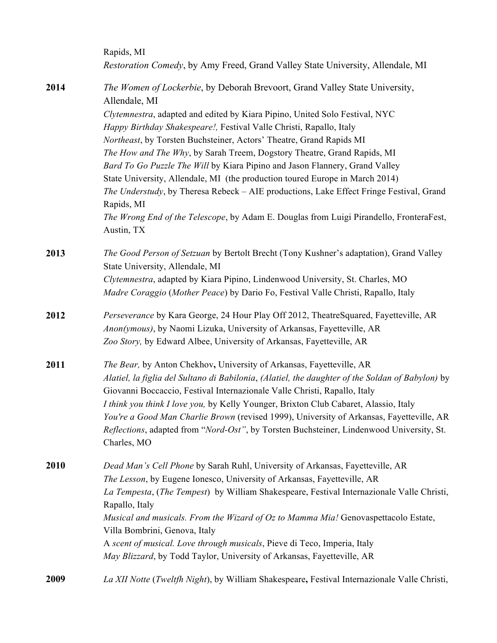|      | Rapids, MI<br>Restoration Comedy, by Amy Freed, Grand Valley State University, Allendale, MI                                                       |
|------|----------------------------------------------------------------------------------------------------------------------------------------------------|
| 2014 | The Women of Lockerbie, by Deborah Brevoort, Grand Valley State University,<br>Allendale, MI                                                       |
|      | Clytemnestra, adapted and edited by Kiara Pipino, United Solo Festival, NYC                                                                        |
|      | Happy Birthday Shakespeare!, Festival Valle Christi, Rapallo, Italy                                                                                |
|      | Northeast, by Torsten Buchsteiner, Actors' Theatre, Grand Rapids MI                                                                                |
|      | The How and The Why, by Sarah Treem, Dogstory Theatre, Grand Rapids, MI                                                                            |
|      | Bard To Go Puzzle The Will by Kiara Pipino and Jason Flannery, Grand Valley                                                                        |
|      | State University, Allendale, MI (the production toured Europe in March 2014)                                                                       |
|      | The Understudy, by Theresa Rebeck - AIE productions, Lake Effect Fringe Festival, Grand<br>Rapids, MI                                              |
|      | The Wrong End of the Telescope, by Adam E. Douglas from Luigi Pirandello, FronteraFest,<br>Austin, TX                                              |
| 2013 | The Good Person of Setzuan by Bertolt Brecht (Tony Kushner's adaptation), Grand Valley<br>State University, Allendale, MI                          |
|      | Clytemnestra, adapted by Kiara Pipino, Lindenwood University, St. Charles, MO                                                                      |
|      | Madre Coraggio (Mother Peace) by Dario Fo, Festival Valle Christi, Rapallo, Italy                                                                  |
| 2012 | Perseverance by Kara George, 24 Hour Play Off 2012, TheatreSquared, Fayetteville, AR                                                               |
|      | Anon(ymous), by Naomi Lizuka, University of Arkansas, Fayetteville, AR                                                                             |
|      | Zoo Story, by Edward Albee, University of Arkansas, Fayetteville, AR                                                                               |
| 2011 | The Bear, by Anton Chekhov, University of Arkansas, Fayetteville, AR                                                                               |
|      | Alatiel, la figlia del Sultano di Babilonia, (Alatiel, the daughter of the Soldan of Babylon) by                                                   |
|      | Giovanni Boccaccio, Festival Internazionale Valle Christi, Rapallo, Italy                                                                          |
|      | I think you think I love you, by Kelly Younger, Brixton Club Cabaret, Alassio, Italy                                                               |
|      | You're a Good Man Charlie Brown (revised 1999), University of Arkansas, Fayetteville, AR                                                           |
|      | Reflections, adapted from "Nord-Ost", by Torsten Buchsteiner, Lindenwood University, St.<br>Charles, MO                                            |
|      |                                                                                                                                                    |
| 2010 | Dead Man's Cell Phone by Sarah Ruhl, University of Arkansas, Fayetteville, AR                                                                      |
|      | The Lesson, by Eugene Ionesco, University of Arkansas, Fayetteville, AR                                                                            |
|      | La Tempesta, (The Tempest) by William Shakespeare, Festival Internazionale Valle Christi,                                                          |
|      | Rapallo, Italy                                                                                                                                     |
|      | Musical and musicals. From the Wizard of Oz to Mamma Mia! Genovaspettacolo Estate,                                                                 |
|      | Villa Bombrini, Genova, Italy                                                                                                                      |
|      | A scent of musical. Love through musicals, Pieve di Teco, Imperia, Italy<br>May Blizzard, by Todd Taylor, University of Arkansas, Fayetteville, AR |
|      |                                                                                                                                                    |
| 2009 | La XII Notte (Tweltfh Night), by William Shakespeare, Festival Internazionale Valle Christi,                                                       |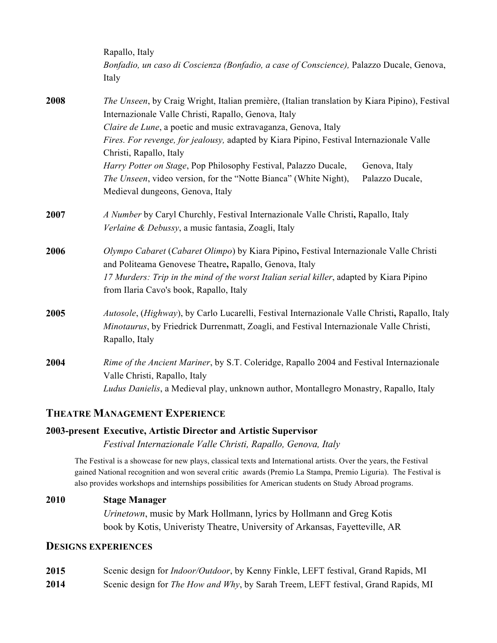|      | Rapallo, Italy<br>Bonfadio, un caso di Coscienza (Bonfadio, a case of Conscience), Palazzo Ducale, Genova,<br>Italy                                                                                                                                                                     |
|------|-----------------------------------------------------------------------------------------------------------------------------------------------------------------------------------------------------------------------------------------------------------------------------------------|
| 2008 | The Unseen, by Craig Wright, Italian première, (Italian translation by Kiara Pipino), Festival<br>Internazionale Valle Christi, Rapallo, Genova, Italy                                                                                                                                  |
|      | Claire de Lune, a poetic and music extravaganza, Genova, Italy<br>Fires. For revenge, for jealousy, adapted by Kiara Pipino, Festival Internazionale Valle<br>Christi, Rapallo, Italy                                                                                                   |
|      | Harry Potter on Stage, Pop Philosophy Festival, Palazzo Ducale,<br>Genova, Italy<br>The Unseen, video version, for the "Notte Bianca" (White Night),<br>Palazzo Ducale,<br>Medieval dungeons, Genova, Italy                                                                             |
| 2007 | A Number by Caryl Churchly, Festival Internazionale Valle Christi, Rapallo, Italy<br>Verlaine & Debussy, a music fantasia, Zoagli, Italy                                                                                                                                                |
| 2006 | Olympo Cabaret (Cabaret Olimpo) by Kiara Pipino, Festival Internazionale Valle Christi<br>and Politeama Genovese Theatre, Rapallo, Genova, Italy<br>17 Murders: Trip in the mind of the worst Italian serial killer, adapted by Kiara Pipino<br>from Ilaria Cavo's book, Rapallo, Italy |
| 2005 | Autosole, (Highway), by Carlo Lucarelli, Festival Internazionale Valle Christi, Rapallo, Italy<br>Minotaurus, by Friedrick Durrenmatt, Zoagli, and Festival Internazionale Valle Christi,<br>Rapallo, Italy                                                                             |
| 2004 | Rime of the Ancient Mariner, by S.T. Coleridge, Rapallo 2004 and Festival Internazionale<br>Valle Christi, Rapallo, Italy<br>Ludus Danielis, a Medieval play, unknown author, Montallegro Monastry, Rapallo, Italy                                                                      |

### **THEATRE MANAGEMENT EXPERIENCE**

### **2003-present Executive, Artistic Director and Artistic Supervisor**

*Festival Internazionale Valle Christi, Rapallo, Genova, Italy*

The Festival is a showcase for new plays, classical texts and International artists. Over the years, the Festival gained National recognition and won several critic awards (Premio La Stampa, Premio Liguria). The Festival is also provides workshops and internships possibilities for American students on Study Abroad programs.

### **2010 Stage Manager**

*Urinetown*, music by Mark Hollmann, lyrics by Hollmann and Greg Kotis book by Kotis, Univeristy Theatre, University of Arkansas, Fayetteville, AR

### **DESIGNS EXPERIENCES**

- **2015** Scenic design for *Indoor/Outdoor*, by Kenny Finkle, LEFT festival, Grand Rapids, MI
- **2014** Scenic design for *The How and Why*, by Sarah Treem, LEFT festival, Grand Rapids, MI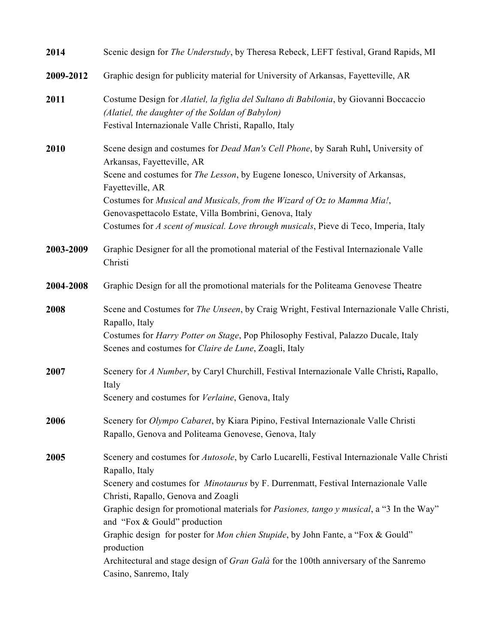| 2014      | Scenic design for <i>The Understudy</i> , by Theresa Rebeck, LEFT festival, Grand Rapids, MI                                                                                                                                                                                                                                                                                                                                                                                                                                                                                                               |
|-----------|------------------------------------------------------------------------------------------------------------------------------------------------------------------------------------------------------------------------------------------------------------------------------------------------------------------------------------------------------------------------------------------------------------------------------------------------------------------------------------------------------------------------------------------------------------------------------------------------------------|
| 2009-2012 | Graphic design for publicity material for University of Arkansas, Fayetteville, AR                                                                                                                                                                                                                                                                                                                                                                                                                                                                                                                         |
| 2011      | Costume Design for Alatiel, la figlia del Sultano di Babilonia, by Giovanni Boccaccio<br>(Alatiel, the daughter of the Soldan of Babylon)<br>Festival Internazionale Valle Christi, Rapallo, Italy                                                                                                                                                                                                                                                                                                                                                                                                         |
| 2010      | Scene design and costumes for <i>Dead Man's Cell Phone</i> , by Sarah Ruhl, University of<br>Arkansas, Fayetteville, AR<br>Scene and costumes for The Lesson, by Eugene Ionesco, University of Arkansas,<br>Fayetteville, AR<br>Costumes for Musical and Musicals, from the Wizard of Oz to Mamma Mia!,<br>Genovaspettacolo Estate, Villa Bombrini, Genova, Italy<br>Costumes for A scent of musical. Love through musicals, Pieve di Teco, Imperia, Italy                                                                                                                                                 |
| 2003-2009 | Graphic Designer for all the promotional material of the Festival Internazionale Valle<br>Christi                                                                                                                                                                                                                                                                                                                                                                                                                                                                                                          |
| 2004-2008 | Graphic Design for all the promotional materials for the Politeama Genovese Theatre                                                                                                                                                                                                                                                                                                                                                                                                                                                                                                                        |
| 2008      | Scene and Costumes for The Unseen, by Craig Wright, Festival Internazionale Valle Christi,<br>Rapallo, Italy<br>Costumes for <i>Harry Potter on Stage</i> , Pop Philosophy Festival, Palazzo Ducale, Italy<br>Scenes and costumes for Claire de Lune, Zoagli, Italy                                                                                                                                                                                                                                                                                                                                        |
| 2007      | Scenery for A Number, by Caryl Churchill, Festival Internazionale Valle Christi, Rapallo,<br>Italy<br>Scenery and costumes for Verlaine, Genova, Italy                                                                                                                                                                                                                                                                                                                                                                                                                                                     |
| 2006      | Scenery for Olympo Cabaret, by Kiara Pipino, Festival Internazionale Valle Christi<br>Rapallo, Genova and Politeama Genovese, Genova, Italy                                                                                                                                                                                                                                                                                                                                                                                                                                                                |
| 2005      | Scenery and costumes for Autosole, by Carlo Lucarelli, Festival Internazionale Valle Christi<br>Rapallo, Italy<br>Scenery and costumes for <i>Minotaurus</i> by F. Durrenmatt, Festival Internazionale Valle<br>Christi, Rapallo, Genova and Zoagli<br>Graphic design for promotional materials for <i>Pasiones</i> , tango y musical, a "3 In the Way"<br>and "Fox & Gould" production<br>Graphic design for poster for Mon chien Stupide, by John Fante, a "Fox & Gould"<br>production<br>Architectural and stage design of Gran Galà for the 100th anniversary of the Sanremo<br>Casino, Sanremo, Italy |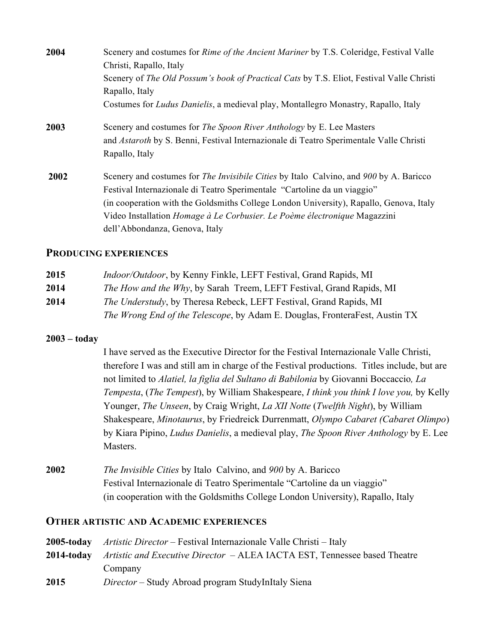| 2004 | Scenery and costumes for <i>Rime of the Ancient Mariner</i> by T.S. Coleridge, Festival Valle |
|------|-----------------------------------------------------------------------------------------------|
|      | Christi, Rapallo, Italy                                                                       |
|      | Scenery of The Old Possum's book of Practical Cats by T.S. Eliot, Festival Valle Christi      |
|      | Rapallo, Italy                                                                                |
|      | Costumes for <i>Ludus Danielis</i> , a medieval play, Montallegro Monastry, Rapallo, Italy    |
| 2003 | Scenery and costumes for <i>The Spoon River Anthology</i> by E. Lee Masters                   |
|      | and <i>Astaroth</i> by S. Benni, Festival Internazionale di Teatro Sperimentale Valle Christi |
|      | Rapallo, Italy                                                                                |
| 2002 | Scenery and costumes for <i>The Invisibile Cities</i> by Italo Calvino, and 900 by A. Baricco |
|      | Festival Internazionale di Teatro Sperimentale "Cartoline da un viaggio"                      |
|      | (in cooperation with the Goldsmiths College London University), Rapallo, Genova, Italy        |
|      | Video Installation <i>Homage à Le Corbusier. Le Poème électronique</i> Magazzini              |
|      | dell'Abbondanza, Genova, Italy                                                                |

### **PRODUCING EXPERIENCES**

| 2015 | <i>Indoor/Outdoor</i> , by Kenny Finkle, LEFT Festival, Grand Rapids, MI     |
|------|------------------------------------------------------------------------------|
| 2014 | <i>The How and the Why</i> , by Sarah Treem, LEFT Festival, Grand Rapids, MI |
| 2014 | <i>The Understudy</i> , by Theresa Rebeck, LEFT Festival, Grand Rapids, MI   |
|      | The Wrong End of the Telescope, by Adam E. Douglas, FronteraFest, Austin TX  |

### **2003 – today**

I have served as the Executive Director for the Festival Internazionale Valle Christi, therefore I was and still am in charge of the Festival productions. Titles include, but are not limited to *Alatiel, la figlia del Sultano di Babilonia* by Giovanni Boccaccio*, La Tempesta*, (*The Tempest*), by William Shakespeare, *I think you think I love you,* by Kelly Younger, *The Unseen*, by Craig Wright, *La XII Notte* (*Twelfth Night*), by William Shakespeare, *Minotaurus*, by Friedreick Durrenmatt, *Olympo Cabaret (Cabaret Olimpo*) by Kiara Pipino, *Ludus Danielis*, a medieval play, *The Spoon River Anthology* by E. Lee Masters.

**2002** *The Invisible Cities* by Italo Calvino, and *900* by A. Baricco Festival Internazionale di Teatro Sperimentale "Cartoline da un viaggio" (in cooperation with the Goldsmiths College London University), Rapallo, Italy

### **OTHER ARTISTIC AND ACADEMIC EXPERIENCES**

|            | <b>2005-today</b> Artistic Director – Festival Internazionale Valle Christi – Italy |  |
|------------|-------------------------------------------------------------------------------------|--|
| 2014-today | <i>Artistic and Executive Director</i> – ALEA IACTA EST, Tennessee based Theatre    |  |
|            | Company                                                                             |  |
| 2015       | <i>Director</i> – Study Abroad program StudyInItaly Siena                           |  |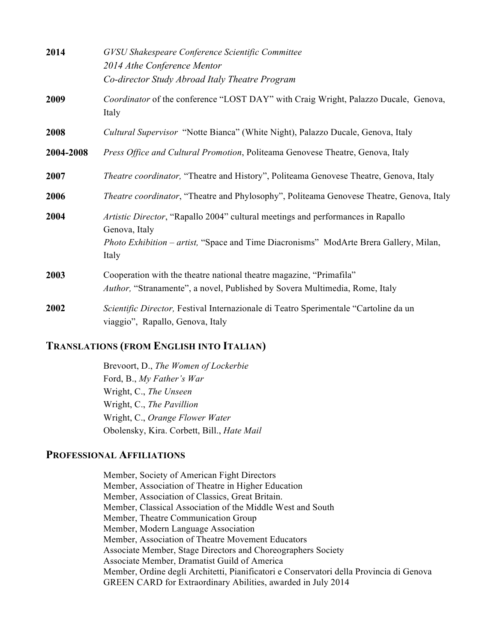| 2014      | GVSU Shakespeare Conference Scientific Committee<br>2014 Athe Conference Mentor<br>Co-director Study Abroad Italy Theatre Program                                                                  |
|-----------|----------------------------------------------------------------------------------------------------------------------------------------------------------------------------------------------------|
| 2009      | Coordinator of the conference "LOST DAY" with Craig Wright, Palazzo Ducale, Genova,<br>Italy                                                                                                       |
| 2008      | <i>Cultural Supervisor</i> "Notte Bianca" (White Night), Palazzo Ducale, Genova, Italy                                                                                                             |
| 2004-2008 | Press Office and Cultural Promotion, Politeama Genovese Theatre, Genova, Italy                                                                                                                     |
| 2007      | Theatre coordinator, "Theatre and History", Politeama Genovese Theatre, Genova, Italy                                                                                                              |
| 2006      | <i>Theatre coordinator</i> , "Theatre and Phylosophy", Politeama Genovese Theatre, Genova, Italy                                                                                                   |
| 2004      | Artistic Director, "Rapallo 2004" cultural meetings and performances in Rapallo<br>Genova, Italy<br>Photo Exhibition – artist, "Space and Time Diacronisms" ModArte Brera Gallery, Milan,<br>Italy |
| 2003      | Cooperation with the theatre national theatre magazine, "Primafila"<br>Author, "Stranamente", a novel, Published by Sovera Multimedia, Rome, Italy                                                 |
| 2002      | Scientific Director, Festival Internazionale di Teatro Sperimentale "Cartoline da un<br>viaggio", Rapallo, Genova, Italy                                                                           |

### **TRANSLATIONS (FROM ENGLISH INTO ITALIAN)**

Brevoort, D., *The Women of Lockerbie* Ford, B., *My Father's War* Wright, C., *The Unseen* Wright, C., *The Pavillion* Wright, C., *Orange Flower Water* Obolensky, Kira. Corbett, Bill., *Hate Mail*

### **PROFESSIONAL AFFILIATIONS**

Member, Society of American Fight Directors Member, Association of Theatre in Higher Education Member, Association of Classics, Great Britain. Member, Classical Association of the Middle West and South Member, Theatre Communication Group Member, Modern Language Association Member, Association of Theatre Movement Educators Associate Member, Stage Directors and Choreographers Society Associate Member, Dramatist Guild of America Member, Ordine degli Architetti, Pianificatori e Conservatori della Provincia di Genova GREEN CARD for Extraordinary Abilities, awarded in July 2014